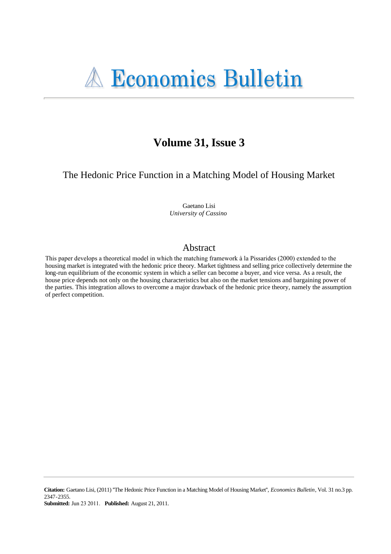# Volume 31, Issue 3

The Hedonic Price Function in a Matching Model of Housing Market

Gaetano Lisi University of Cassino

## Abstract

This paper develops a theoretical model in which the matching framework à la Pissarides (2000) extended to the housing market is integrated with the hedonic price theory. Market tightness and selling price collectively determine the long-run equilibrium of the economic system in which a seller can become a buyer, and vice versa. As a result, the house price depends not only on the housing characteristics but also on the market tensions and bargaining power of the parties. This integration allows to overcome a major drawback of the hedonic price theory, namely the assumption of perfect competition.

**Submitted:** Jun 23 2011. Published: August 21, 2011.

Citation: Gaetano Lisi, (2011) "The Hedonic Price Function in a Matching Model of Housing Market", Economics Bulletin, Vol. 31 no.3 pp. 2347-2355.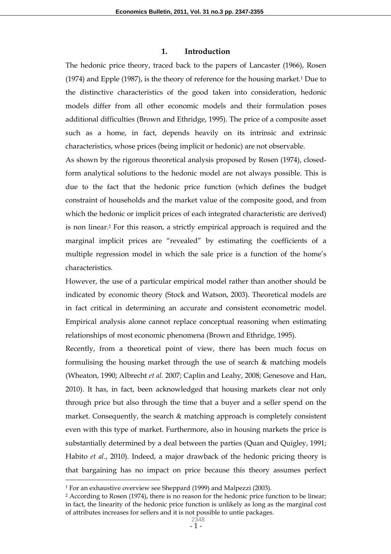#### **1. Introduction**

The hedonic price theory, traced back to the papers of Lancaster (1966), Rosen (1974) and Epple (1987), is the theory of reference for the housing market.1 Due to the distinctive characteristics of the good taken into consideration, hedonic models differ from all other economic models and their formulation poses additional difficulties (Brown and Ethridge, 1995). The price of a composite asset such as a home, in fact, depends heavily on its intrinsic and extrinsic characteristics, whose prices (being implicit or hedonic) are not observable.

As shown by the rigorous theoretical analysis proposed by Rosen (1974), closedform analytical solutions to the hedonic model are not always possible. This is due to the fact that the hedonic price function (which defines the budget constraint of households and the market value of the composite good, and from which the hedonic or implicit prices of each integrated characteristic are derived) is non linear.2 For this reason, a strictly empirical approach is required and the marginal implicit prices are "revealed" by estimating the coefficients of a multiple regression model in which the sale price is a function of the home's characteristics.

However, the use of a particular empirical model rather than another should be indicated by economic theory (Stock and Watson, 2003). Theoretical models are in fact critical in determining an accurate and consistent econometric model. Empirical analysis alone cannot replace conceptual reasoning when estimating relationships of most economic phenomena (Brown and Ethridge, 1995).

Recently, from a theoretical point of view, there has been much focus on formulising the housing market through the use of search & matching models (Wheaton, 1990; Albrecht *et al.* 2007; Caplin and Leahy, 2008; Genesove and Han, 2010). It has, in fact, been acknowledged that housing markets clear not only through price but also through the time that a buyer and a seller spend on the market. Consequently, the search & matching approach is completely consistent even with this type of market. Furthermore, also in housing markets the price is substantially determined by a deal between the parties (Quan and Quigley, 1991; Habito *et al.*, 2010). Indeed, a major drawback of the hedonic pricing theory is that bargaining has no impact on price because this theory assumes perfect

 $\overline{a}$ 

<sup>1</sup> For an exhaustive overview see Sheppard (1999) and Malpezzi (2003).

<sup>2</sup> According to Rosen (1974), there is no reason for the hedonic price function to be linear; in fact, the linearity of the hedonic price function is unlikely as long as the marginal cost of attributes increases for sellers and it is not possible to untie packages.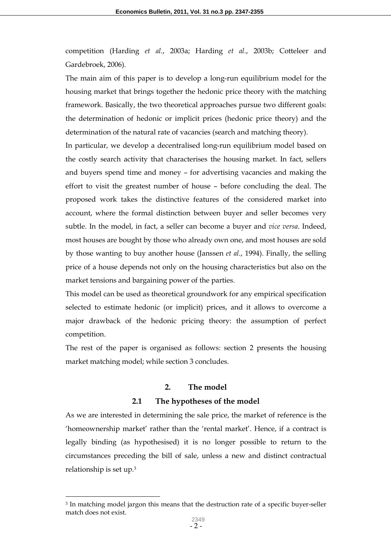competition (Harding *et al.*, 2003a; Harding *et al.*, 2003b; Cotteleer and Gardebroek, 2006).

The main aim of this paper is to develop a long-run equilibrium model for the housing market that brings together the hedonic price theory with the matching framework. Basically, the two theoretical approaches pursue two different goals: the determination of hedonic or implicit prices (hedonic price theory) and the determination of the natural rate of vacancies (search and matching theory).

In particular, we develop a decentralised long-run equilibrium model based on the costly search activity that characterises the housing market. In fact, sellers and buyers spend time and money – for advertising vacancies and making the effort to visit the greatest number of house – before concluding the deal. The proposed work takes the distinctive features of the considered market into account, where the formal distinction between buyer and seller becomes very subtle. In the model, in fact, a seller can become a buyer and *vice versa*. Indeed, most houses are bought by those who already own one, and most houses are sold by those wanting to buy another house (Janssen *et al.*, 1994). Finally, the selling price of a house depends not only on the housing characteristics but also on the market tensions and bargaining power of the parties.

This model can be used as theoretical groundwork for any empirical specification selected to estimate hedonic (or implicit) prices, and it allows to overcome a major drawback of the hedonic pricing theory: the assumption of perfect competition.

The rest of the paper is organised as follows: section 2 presents the housing market matching model; while section 3 concludes.

### **2. The model**

#### **2.1 The hypotheses of the model**

As we are interested in determining the sale price, the market of reference is the 'homeownership market' rather than the 'rental market'. Hence, if a contract is legally binding (as hypothesised) it is no longer possible to return to the circumstances preceding the bill of sale, unless a new and distinct contractual relationship is set up.<sup>3</sup>

 $\overline{a}$ 

<sup>3</sup> In matching model jargon this means that the destruction rate of a specific buyer-seller match does not exist.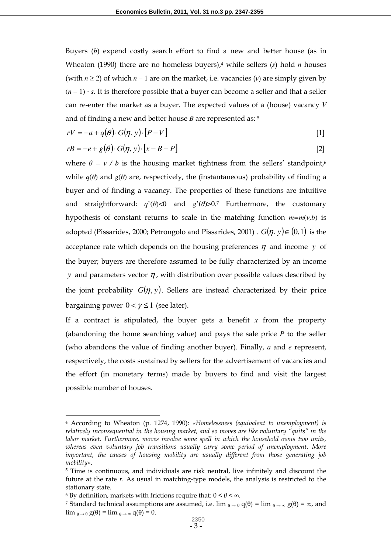Buyers (*b*) expend costly search effort to find a new and better house (as in Wheaton (1990) there are no homeless buyers),<sup>4</sup> while sellers (*s*) hold *n* houses (with  $n \ge 2$ ) of which  $n-1$  are on the market, i.e. vacancies (*v*) are simply given by  $(n-1)$  · *s*. It is therefore possible that a buyer can become a seller and that a seller can re-enter the market as a buyer. The expected values of a (house) vacancy *V* and of finding a new and better house *B* are represented as: <sup>5</sup>

$$
rV = -a + q(\theta) \cdot G(\eta, y) \cdot [P - V] \tag{1}
$$

$$
rB = -e + g(\theta) \cdot G(\eta, y) \cdot [x - B - P]
$$
 [2]

where  $\theta \equiv v / b$  is the housing market tightness from the sellers' standpoint,<sup>6</sup> while  $q(\theta)$  and  $g(\theta)$  are, respectively, the (instantaneous) probability of finding a buyer and of finding a vacancy. The properties of these functions are intuitive and straightforward: *q*'(*θ*)<0 and *g*'(*θ*)>0. <sup>7</sup> Furthermore, the customary hypothesis of constant returns to scale in the matching function *m=m*(*v,b*) is adopted (Pissarides, 2000; Petrongolo and Pissarides, 2001) .  $G(\eta, y) \in (0, 1)$  is the acceptance rate which depends on the housing preferences  $\eta$  and income *y* of the buyer; buyers are therefore assumed to be fully characterized by an income *y* and parameters vector  $\eta$ , with distribution over possible values described by the joint probability  $G(\eta, y)$ . Sellers are instead characterized by their price bargaining power  $0 < \gamma \leq 1$  (see later).

If a contract is stipulated, the buyer gets a benefit  $x$  from the property (abandoning the home searching value) and pays the sale price *P* to the seller (who abandons the value of finding another buyer). Finally, *a* and *e* represent, respectively, the costs sustained by sellers for the advertisement of vacancies and the effort (in monetary terms) made by buyers to find and visit the largest possible number of houses.

 $\overline{a}$ 

<sup>4</sup> According to Wheaton (p. 1274, 1990): *«Homelessness (equivalent to unemployment) is relatively inconsequential in the housing market, and so moves are like voluntary "quits" in the*  labor market. Furthermore, moves involve some spell in which the household owns two units, *whereas even voluntary job transitions usually carry some period of unemployment. More important, the causes of housing mobility are usually different from those generating job mobility».*

<sup>5</sup> Time is continuous, and individuals are risk neutral, live infinitely and discount the future at the rate *r*. As usual in matching-type models, the analysis is restricted to the stationary state.

<sup>6</sup> By definition, markets with frictions require that: 0 < *θ* < ∞.

<sup>7</sup> Standard technical assumptions are assumed, i.e.  $\lim_{\theta \to 0} q(\theta) = \lim_{\theta \to \infty} g(\theta) = \infty$ , and  $\lim_{\theta \to 0} g(\theta) = \lim_{\theta \to \infty} q(\theta) = 0.$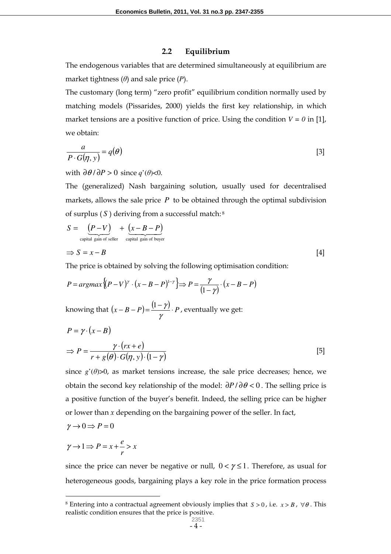#### **2.2 Equilibrium**

The endogenous variables that are determined simultaneously at equilibrium are market tightness (*θ*) and sale price (*P*).

The customary (long term) "zero profit" equilibrium condition normally used by matching models (Pissarides, 2000) yields the first key relationship, in which market tensions are a positive function of price. Using the condition  $V = 0$  in [1], we obtain:

$$
\frac{a}{P \cdot G(\eta, y)} = q(\theta) \tag{3}
$$

with  $\partial \theta / \partial P > 0$  since *q*'( $\theta$ )<0.

The (generalized) Nash bargaining solution, usually used for decentralised markets, allows the sale price  $P$  to be obtained through the optimal subdivision of surplus ( *S* ) deriving from a successful match:<sup>8</sup>

$$
S = \underbrace{(P-V)}_{\text{capital gain of seller}} + \underbrace{(x-B-P)}_{\text{capital gain of buyer}}
$$
  
\n
$$
\Rightarrow S = x - B
$$
 [4]

The price is obtained by solving the following optimisation condition:

$$
P = argmax\{ (P - V)^{\gamma} \cdot (x - B - P)^{1-\gamma} \} \Rightarrow P = \frac{\gamma}{(1-\gamma)} \cdot (x - B - P)
$$

knowing that  $(x - B - P) = \frac{(1 - \gamma)}{P} \cdot P$ γ  $\frac{(1-\gamma)}{P}$ . *P*, eventually we get:

$$
P = \gamma \cdot (x - B)
$$
  
\n
$$
\Rightarrow P = \frac{\gamma \cdot (rx + e)}{r + g(\theta) \cdot G(\eta, y) \cdot (1 - \gamma)}
$$
 [5]

since  $g'(\theta)$ >0, as market tensions increase, the sale price decreases; hence, we obtain the second key relationship of the model: ∂*P* / ∂<sup>θ</sup> < 0 . The selling price is a positive function of the buyer's benefit. Indeed, the selling price can be higher or lower than *x* depending on the bargaining power of the seller. In fact,

$$
\gamma \to 0 \Longrightarrow P = 0
$$

 $\overline{a}$ 

$$
\gamma \to 1 \Longrightarrow P = x + \frac{e}{r} > x
$$

since the price can never be negative or null,  $0 < \gamma \leq 1$ . Therefore, as usual for heterogeneous goods, bargaining plays a key role in the price formation process

<sup>8</sup> Entering into a contractual agreement obviously implies that *S* > 0 , i.e. *x* > *B* , ∀<sup>θ</sup> . This realistic condition ensures that the price is positive.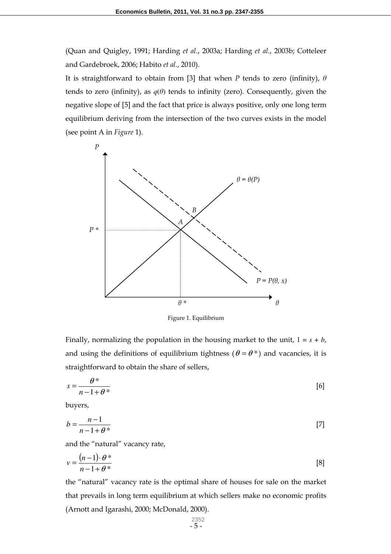(Quan and Quigley, 1991; Harding *et al.*, 2003a; Harding *et al.*, 2003b; Cotteleer and Gardebroek, 2006; Habito *et al.*, 2010).

It is straightforward to obtain from [3] that when *P* tends to zero (infinity), *θ* tends to zero (infinity), as  $q(\theta)$  tends to infinity (zero). Consequently, given the negative slope of [5] and the fact that price is always positive, only one long term equilibrium deriving from the intersection of the two curves exists in the model (see point A in *Figure* 1).



Figure 1. Equilibrium

Finally, normalizing the population in the housing market to the unit,  $1 = s + b$ , and using the definitions of equilibrium tightness ( $\theta = \theta^*$ ) and vacancies, it is straightforward to obtain the share of sellers,

$$
s = \frac{\theta^*}{n - 1 + \theta^*} \tag{6}
$$

buyers,

$$
b = \frac{n-1}{n-1+\theta^*} \tag{7}
$$

and the "natural" vacancy rate,

$$
v = \frac{(n-1) \cdot \theta^*}{n-1+\theta^*}
$$
 [8]

the "natural" vacancy rate is the optimal share of houses for sale on the market that prevails in long term equilibrium at which sellers make no economic profits (Arnott and Igarashi, 2000; McDonald, 2000).

$$
\begin{array}{c} 2352 \\ -5 \end{array}
$$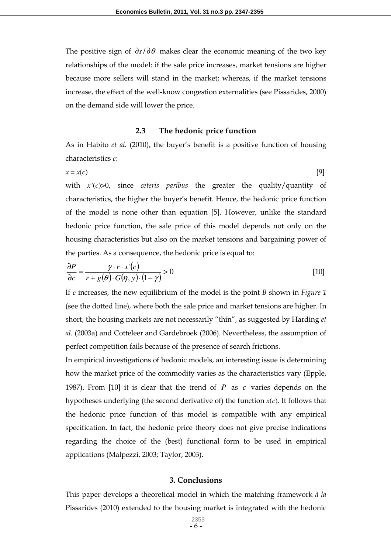The positive sign of ∂*s*/ ∂<sup>θ</sup> makes clear the economic meaning of the two key relationships of the model: if the sale price increases, market tensions are higher because more sellers will stand in the market; whereas, if the market tensions increase, the effect of the well-know congestion externalities (see Pissarides, 2000) on the demand side will lower the price.

#### **2.3 The hedonic price function**

As in Habito *et al.* (2010), the buyer's benefit is a positive function of housing characteristics *c*:

$$
x = x(c) \tag{9}
$$

with *x'*(*c*)>0, since *ceteris paribus* the greater the quality/quantity of characteristics, the higher the buyer's benefit. Hence, the hedonic price function of the model is none other than equation [5]. However, unlike the standard hedonic price function, the sale price of this model depends not only on the housing characteristics but also on the market tensions and bargaining power of the parties. As a consequence, the hedonic price is equal to:

$$
\frac{\partial P}{\partial c} = \frac{\gamma \cdot r \cdot x'(c)}{r + g(\theta) \cdot G(\eta, y) \cdot (1 - \gamma)} > 0
$$
\n[10]

If *c* increases, the new equilibrium of the model is the point *B* shown in *Figure 1* (see the dotted line), where both the sale price and market tensions are higher. In short, the housing markets are not necessarily "thin", as suggested by Harding *et al.* (2003a) and Cotteleer and Gardebroek (2006). Nevertheless, the assumption of perfect competition fails because of the presence of search frictions.

In empirical investigations of hedonic models, an interesting issue is determining how the market price of the commodity varies as the characteristics vary (Epple, 1987). From [10] it is clear that the trend of *P* as *c* varies depends on the hypotheses underlying (the second derivative of) the function *x*(*c*). It follows that the hedonic price function of this model is compatible with any empirical specification. In fact, the hedonic price theory does not give precise indications regarding the choice of the (best) functional form to be used in empirical applications (Malpezzi, 2003; Taylor, 2003).

#### **3. Conclusions**

This paper develops a theoretical model in which the matching framework *à la* Pissarides (2010) extended to the housing market is integrated with the hedonic

> - 6 - 2353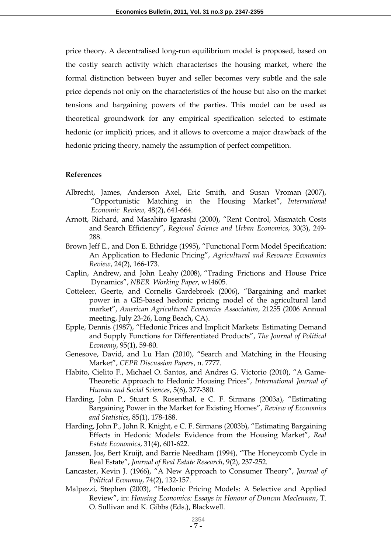price theory. A decentralised long-run equilibrium model is proposed, based on the costly search activity which characterises the housing market, where the formal distinction between buyer and seller becomes very subtle and the sale price depends not only on the characteristics of the house but also on the market tensions and bargaining powers of the parties. This model can be used as theoretical groundwork for any empirical specification selected to estimate hedonic (or implicit) prices, and it allows to overcome a major drawback of the hedonic pricing theory, namely the assumption of perfect competition.

#### **References**

- Albrecht, James, Anderson Axel, Eric Smith, and Susan Vroman (2007), "Opportunistic Matching in the Housing Market", *International Economic Review,* 48(2), 641‐664.
- Arnott, Richard, and Masahiro Igarashi (2000), "Rent Control, Mismatch Costs and Search Efficiency", *Regional Science and Urban Economics*, 30(3), 249- 288.
- Brown Jeff E., and Don E. Ethridge (1995), "Functional Form Model Specification: An Application to Hedonic Pricing", *Agricultural and Resource Economics Review*, 24(2), 166-173.
- Caplin, Andrew, and John Leahy (2008), "Trading Frictions and House Price Dynamics", *NBER Working Paper*, w14605.
- Cotteleer, Geerte, and Cornelis Gardebroek (2006), "Bargaining and market power in a GIS-based hedonic pricing model of the agricultural land market", *American Agricultural Economics Association*, 21255 (2006 Annual meeting, July 23-26, Long Beach, CA).
- Epple, Dennis (1987), "Hedonic Prices and Implicit Markets: Estimating Demand and Supply Functions for Differentiated Products", *The Journal of Political Economy*, 95(1), 59-80.
- Genesove, David, and Lu Han (2010), "Search and Matching in the Housing Market", *CEPR Discussion Papers*, n. 7777.
- Habito, Cielito F., Michael O. Santos, and Andres G. Victorio (2010), "A Game-Theoretic Approach to Hedonic Housing Prices", *International Journal of Human and Social Sciences*, 5(6), 377-380.
- Harding, John P., Stuart S. Rosenthal, e C. F. Sirmans (2003a), "Estimating Bargaining Power in the Market for Existing Homes", *Review of Economics and Statistics*, 85(1), 178-188.
- Harding, John P., John R. Knight, e C. F. Sirmans (2003b), "Estimating Bargaining Effects in Hedonic Models: Evidence from the Housing Market", *Real Estate Economics*, 31(4), 601-622.
- Janssen, Jos**,** Bert Kruijt, and Barrie Needham (1994), "The Honeycomb Cycle in Real Estate", *Journal of Real Estate Research*, 9(2), 237-252.
- Lancaster, Kevin J. (1966), "A New Approach to Consumer Theory", *Journal of Political Economy*, 74(2), 132-157.
- Malpezzi, Stephen (2003), "Hedonic Pricing Models: A Selective and Applied Review", in: *Housing Economics: Essays in Honour of Duncan Maclennan*, T. O. Sullivan and K. Gibbs (Eds.), Blackwell.